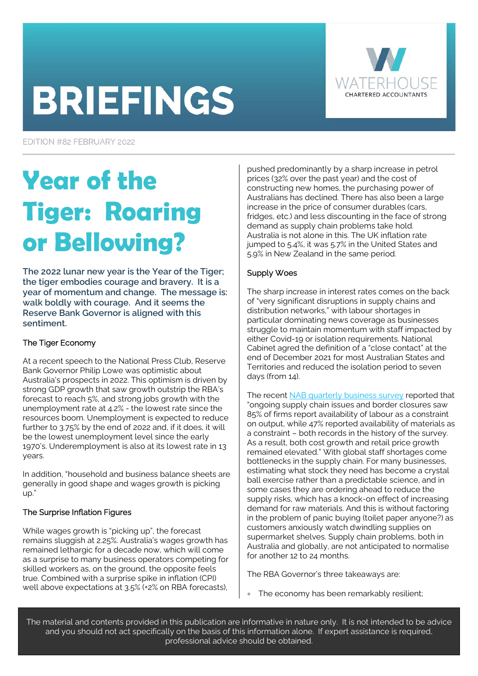# **BRIEFINGS**



EDITION #82 FEBRUARY 2022

# **Year of the Tiger: Roaring or Bellowing?**

**The 2022 lunar new year is the Year of the Tiger; the tiger embodies courage and bravery. It is a year of momentum and change. The message is: walk boldly with courage. And it seems the Reserve Bank Governor is aligned with this sentiment.** 

# The Tiger Economy

At a recent speech to the National Press Club, Reserve Bank Governor Philip Lowe was optimistic about Australia's prospects in 2022. This optimism is driven by strong GDP growth that saw growth outstrip the RBA's forecast to reach 5%, and strong jobs growth with the unemployment rate at 4.2% - the lowest rate since the resources boom. Unemployment is expected to reduce further to 3.75% by the end of 2022 and, if it does, it will be the lowest unemployment level since the early 1970's. Underemployment is also at its lowest rate in 13 years.

In addition, "household and business balance sheets are generally in good shape and wages growth is picking up."

# The Surprise Inflation Figures

While wages growth is "picking up", the forecast remains sluggish at 2.25%. Australia's wages growth has remained lethargic for a decade now, which will come as a surprise to many business operators competing for skilled workers as, on the ground, the opposite feels true. Combined with a surprise spike in inflation (CPI) well above expectations at 3.5% (+2% on RBA forecasts),

pushed predominantly by a sharp increase in petrol prices (32% over the past year) and the cost of constructing new homes, the purchasing power of Australians has declined. There has also been a large increase in the price of consumer durables (cars, fridges, etc.) and less discounting in the face of strong demand as supply chain problems take hold. Australia is not alone in this. The UK inflation rate jumped to 5.4%, it was 5.7% in the United States and 5.9% in New Zealand in the same period.

### Supply Woes

The sharp increase in interest rates comes on the back of "very significant disruptions in supply chains and distribution networks," with labour shortages in particular dominating news coverage as businesses struggle to maintain momentum with staff impacted by either Covid-19 or isolation requirements. National Cabinet agred the definition of a "close contact" at the end of December 2021 for most Australian States and Territories and reduced the isolation period to seven days (from 14).

The recent [NAB quarterly business survey r](https://business.nab.com.au/nab-quarterly-business-survey-december-2021-50997/)eported that "ongoing supply chain issues and border closures saw 85% of firms report availability of labour as a constraint on output, while 47% reported availability of materials as a constraint – both records in the history of the survey. As a result, both cost growth and retail price growth remained elevated." With global staff shortages come bottlenecks in the supply chain. For many businesses, estimating what stock they need has become a crystal ball exercise rather than a predictable science, and in some cases they are ordering ahead to reduce the supply risks, which has a knock-on effect of increasing demand for raw materials. And this is without factoring in the problem of panic buying (toilet paper anyone?) as customers anxiously watch dwindling supplies on supermarket shelves. Supply chain problems, both in Australia and globally, are not anticipated to normalise for another 12 to 24 months.

The RBA Governor's three takeaways are:

The economy has been remarkably resilient;

The material and contents provided in this publication are informative in nature only. It is not intended to be advice and you should not act specifically on the basis of this information alone. If expert assistance is required, professional advice should be obtained.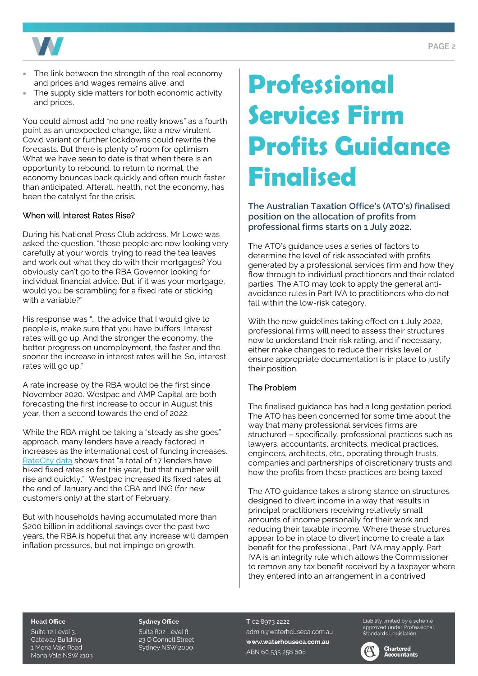

- The link between the strength of the real economy and prices and wages remains alive; and
- The supply side matters for both economic activity and prices.

You could almost add "no one really knows" as a fourth point as an unexpected change, like a new virulent Covid variant or further lockdowns could rewrite the forecasts. But there is plenty of room for optimism. What we have seen to date is that when there is an opportunity to rebound, to return to normal, the economy bounces back quickly and often much faster than anticipated. Afterall, health, not the economy, has been the catalyst for the crisis.

### When will Interest Rates Rise?

During his National Press Club address, Mr Lowe was asked the question, "those people are now looking very carefully at your words, trying to read the tea leaves and work out what they do with their mortgages? You obviously can't go to the RBA Governor looking for individual financial advice. But, if it was your mortgage, would you be scrambling for a fixed rate or sticking with a variable?"

His response was "… the advice that I would give to people is, make sure that you have buffers. Interest rates will go up. And the stronger the economy, the better progress on unemployment, the faster and the sooner the increase in interest rates will be. So, interest rates will go up."

A rate increase by the RBA would be the first since November 2020. Westpac and AMP Capital are both forecasting the first increase to occur in August this year, then a second towards the end of 2022.

While the RBA might be taking a "steady as she goes" approach, many lenders have already factored in increases as the international cost of funding increases. [RateCity data s](https://www.ratecity.com.au/home-loans/mortgage-news/westpac-first-big-four-bank-hike-fixed-rates-2022)hows that "a total of 17 lenders have hiked fixed rates so far this year, but that number will rise and quickly." Westpac increased its fixed rates at the end of January and the CBA and ING (for new customers only) at the start of February.

But with households having accumulated more than \$200 billion in additional savings over the past two years, the RBA is hopeful that any increase will dampen inflation pressures, but not impinge on growth.

# **Professional Services Firm Profits Guidance Finalised**

# **The Australian Taxation Office's (ATO's) finalised position on the allocation of profits from professional firms starts on 1 July 2022.**

The ATO's guidance uses a series of factors to determine the level of risk associated with profits generated by a professional services firm and how they flow through to individual practitioners and their related parties. The ATO may look to apply the general antiavoidance rules in Part IVA to practitioners who do not fall within the low-risk category.

With the new guidelines taking effect on 1 July 2022, professional firms will need to assess their structures now to understand their risk rating, and if necessary, either make changes to reduce their risks level or ensure appropriate documentation is in place to justify their position.

### The Problem

The finalised guidance has had a long gestation period. The ATO has been concerned for some time about the way that many professional services firms are structured – specifically, professional practices such as lawyers, accountants, architects, medical practices, engineers, architects, etc., operating through trusts, companies and partnerships of discretionary trusts and how the profits from these practices are being taxed.

The ATO guidance takes a strong stance on structures designed to divert income in a way that results in principal practitioners receiving relatively small amounts of income personally for their work and reducing their taxable income. Where these structures appear to be in place to divert income to create a tax benefit for the professional, Part IVA may apply. Part IVA is an integrity rule which allows the Commissioner to remove any tax benefit received by a taxpayer where they entered into an arrangement in a contrived

#### **Head Office**

Suite 12 Level 3. **Gateway Building** 1 Mona Vale Road Mona Vale NSW 2103

#### **Sydney Office**

Suite 802 Level 8 23 O'Connell Street Sydney NSW 2000

T 02 8973 2222 admin@waterhouseca.com.au www.waterhouseca.com.au ABN 60 535 258 608

Liability limited by a scheme approved under Professional<br>Standards Legislation

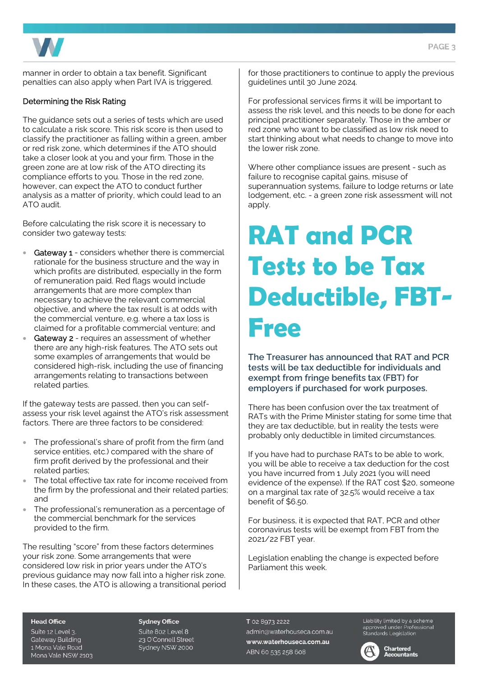

manner in order to obtain a tax benefit. Significant penalties can also apply when Part IVA is triggered.

### Determining the Risk Rating

The guidance sets out a series of tests which are used to calculate a risk score. This risk score is then used to classify the practitioner as falling within a green, amber or red risk zone, which determines if the ATO should take a closer look at you and your firm. Those in the green zone are at low risk of the ATO directing its compliance efforts to you. Those in the red zone, however, can expect the ATO to conduct further analysis as a matter of priority, which could lead to an ATO audit.

Before calculating the risk score it is necessary to consider two gateway tests:

- Gateway 1 considers whether there is commercial rationale for the business structure and the way in which profits are distributed, especially in the form of remuneration paid. Red flags would include arrangements that are more complex than necessary to achieve the relevant commercial objective, and where the tax result is at odds with the commercial venture, e.g. where a tax loss is claimed for a profitable commercial venture; and
- Gateway 2 requires an assessment of whether there are any high-risk features. The ATO sets out some examples of arrangements that would be considered high-risk, including the use of financing arrangements relating to transactions between related parties.

If the gateway tests are passed, then you can selfassess your risk level against the ATO's risk assessment factors. There are three factors to be considered:

- The professional's share of profit from the firm (and service entities, etc.) compared with the share of firm profit derived by the professional and their related parties;
- The total effective tax rate for income received from the firm by the professional and their related parties; and
- The professional's remuneration as a percentage of the commercial benchmark for the services provided to the firm.

The resulting "score" from these factors determines your risk zone. Some arrangements that were considered low risk in prior years under the ATO's previous guidance may now fall into a higher risk zone. In these cases, the ATO is allowing a transitional period for those practitioners to continue to apply the previous guidelines until 30 June 2024.

For professional services firms it will be important to assess the risk level, and this needs to be done for each principal practitioner separately. Those in the amber or red zone who want to be classified as low risk need to start thinking about what needs to change to move into the lower risk zone.

Where other compliance issues are present - such as failure to recognise capital gains, misuse of superannuation systems, failure to lodge returns or late lodgement, etc. - a green zone risk assessment will not apply.

# **RAT and PCR Tests to be Tax Deductible, FBT-Free**

**The Treasurer has announced that RAT and PCR tests will be tax deductible for individuals and exempt from fringe benefits tax (FBT) for employers if purchased for work purposes.** 

There has been confusion over the tax treatment of RATs with the Prime Minister stating for some time that they are tax deductible, but in reality the tests were probably only deductible in limited circumstances.

If you have had to purchase RATs to be able to work, you will be able to receive a tax deduction for the cost you have incurred from 1 July 2021 (you will need evidence of the expense). If the RAT cost \$20, someone on a marginal tax rate of 32.5% would receive a tax benefit of \$6.50.

For business, it is expected that RAT, PCR and other coronavirus tests will be exempt from FBT from the 2021/22 FBT year.

Legislation enabling the change is expected before Parliament this week.

#### **Head Office**

Suite 12 Level 3. **Gateway Building** 1 Mona Vale Road Mona Vale NSW 2103

#### **Sydney Office**

Suite 802 Level 8 23 O'Connell Street Sydney NSW 2000

T 02 8973 2222 admin@waterhouseca.com.au www.waterhouseca.com.au ABN 60 535 258 608

Liability limited by a scheme approved under Professional<br>Standards Legislation

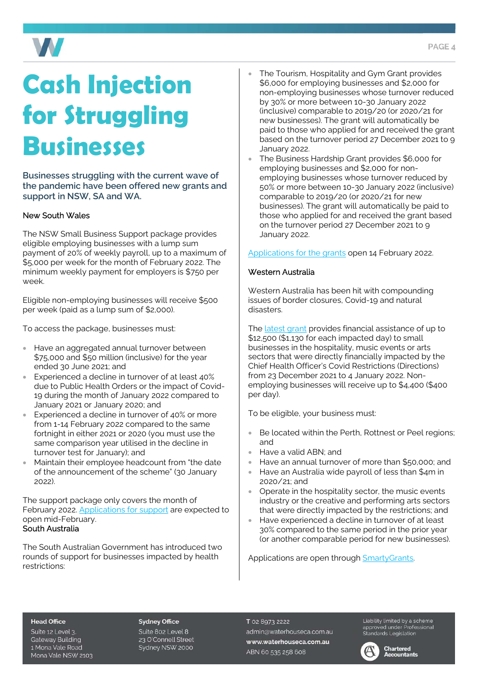

# **Cash Injection for Struggling Businesses**

**Businesses struggling with the current wave of the pandemic have been offered new grants and support in NSW, SA and WA.** 

### New South Wales

The NSW Small Business Support package provides eligible employing businesses with a lump sum payment of 20% of weekly payroll, up to a maximum of \$5,000 per week for the month of February 2022. The minimum weekly payment for employers is \$750 per week.

Eligible non-employing businesses will receive \$500 per week (paid as a lump sum of \$2,000).

To access the package, businesses must:

- Have an aggregated annual turnover between \$75,000 and \$50 million (inclusive) for the year ended 30 June 2021; and
- Experienced a decline in turnover of at least 40% due to Public Health Orders or the impact of Covid-19 during the month of January 2022 compared to January 2021 or January 2020; and
- Experienced a decline in turnover of 40% or more from 1-14 February 2022 compared to the same fortnight in either 2021 or 2020 (you must use the same comparison year utilised in the decline in turnover test for January); and
- Maintain their employee headcount from "the date of the announcement of the scheme" (30 January 2022).

The support package only covers the month of February 2022. [Applications for support a](https://www.service.nsw.gov.au/transaction/2022-small-business-support-program)re expected to open mid-February. South Australia

The South Australian Government has introduced two rounds of support for businesses impacted by health restrictions:

- The Tourism, Hospitality and Gym Grant provides \$6,000 for employing businesses and \$2,000 for non-employing businesses whose turnover reduced by 30% or more between 10-30 January 2022 (inclusive) comparable to 2019/20 (or 2020/21 for new businesses). The grant will automatically be paid to those who applied for and received the grant based on the turnover period 27 December 2021 to 9 January 2022.
- The Business Hardship Grant provides \$6,000 for employing businesses and \$2,000 for nonemploying businesses whose turnover reduced by 50% or more between 10-30 January 2022 (inclusive) comparable to 2019/20 (or 2020/21 for new businesses). The grant will automatically be paid to those who applied for and received the grant based on the turnover period 27 December 2021 to 9 January 2022.

[Applications for the grants](https://www.treasury.sa.gov.au/Growing-South-Australia/COVID-19/january-2022/Additional-Rounds-January-2022) open 14 February 2022.

### Western Australia

Western Australia has been hit with compounding issues of border closures, Covid-19 and natural disasters.

Th[e latest grant p](https://www.smallbusiness.wa.gov.au/assistance-grant)rovides financial assistance of up to \$12,500 (\$1,130 for each impacted day) to small businesses in the hospitality, music events or arts sectors that were directly financially impacted by the Chief Health Officer's Covid Restrictions (Directions) from 23 December 2021 to 4 January 2022. Nonemploying businesses will receive up to \$4,400 (\$400 per day).

To be eligible, your business must:

- Be located within the Perth, Rottnest or Peel regions; and
- Have a valid ABN; and
- Have an annual turnover of more than \$50,000; and
- Have an Australia wide payroll of less than \$4m in 2020/21; and
- Operate in the hospitality sector, the music events industry or the creative and performing arts sectors that were directly impacted by the restrictions; and
- Have experienced a decline in turnover of at least 30% compared to the same period in the prior year (or another comparable period for new businesses).

Applications are open through SmartyGrants.

#### **Head Office**

Suite 12 Level 3. **Gateway Building** 1 Mona Vale Road Mona Vale NSW 2103

#### **Sydney Office**

Suite 802 Level 8 23 O'Connell Street Sydney NSW 2000

T 02 8973 2222 admin@waterhouseca.com.au www.waterhouseca.com.au ABN 60 535 258 608

Liability limited by a scheme approved under Professional<br>Standards Legislation